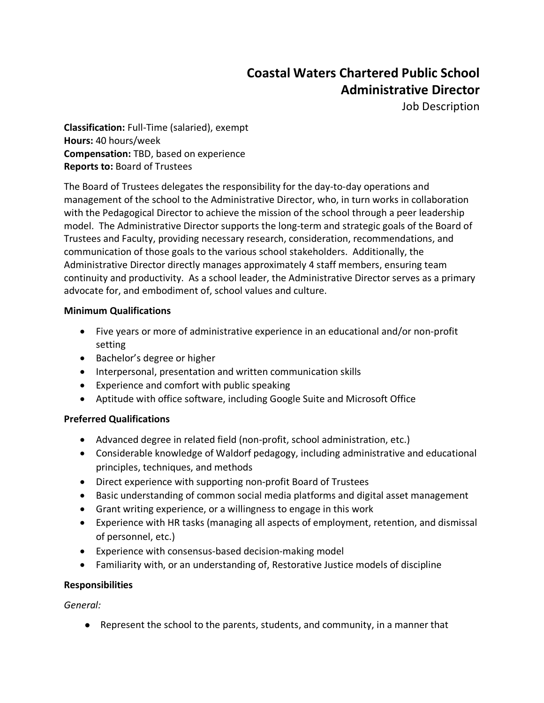# **Coastal Waters Chartered Public School Administrative Director**

Job Description

**Classification:** Full-Time (salaried), exempt **Hours:** 40 hours/week **Compensation:** TBD, based on experience **Reports to:** Board of Trustees

The Board of Trustees delegates the responsibility for the day-to-day operations and management of the school to the Administrative Director, who, in turn works in collaboration with the Pedagogical Director to achieve the mission of the school through a peer leadership model. The Administrative Director supports the long-term and strategic goals of the Board of Trustees and Faculty, providing necessary research, consideration, recommendations, and communication of those goals to the various school stakeholders. Additionally, the Administrative Director directly manages approximately 4 staff members, ensuring team continuity and productivity. As a school leader, the Administrative Director serves as a primary advocate for, and embodiment of, school values and culture.

#### **Minimum Qualifications**

- Five years or more of administrative experience in an educational and/or non-profit setting
- Bachelor's degree or higher
- Interpersonal, presentation and written communication skills
- Experience and comfort with public speaking
- Aptitude with office software, including Google Suite and Microsoft Office

#### **Preferred Qualifications**

- Advanced degree in related field (non-profit, school administration, etc.)
- Considerable knowledge of Waldorf pedagogy, including administrative and educational principles, techniques, and methods
- Direct experience with supporting non-profit Board of Trustees
- Basic understanding of common social media platforms and digital asset management
- Grant writing experience, or a willingness to engage in this work
- Experience with HR tasks (managing all aspects of employment, retention, and dismissal of personnel, etc.)
- Experience with consensus-based decision-making model
- Familiarity with, or an understanding of, Restorative Justice models of discipline

#### **Responsibilities**

*General:*

● Represent the school to the parents, students, and community, in a manner that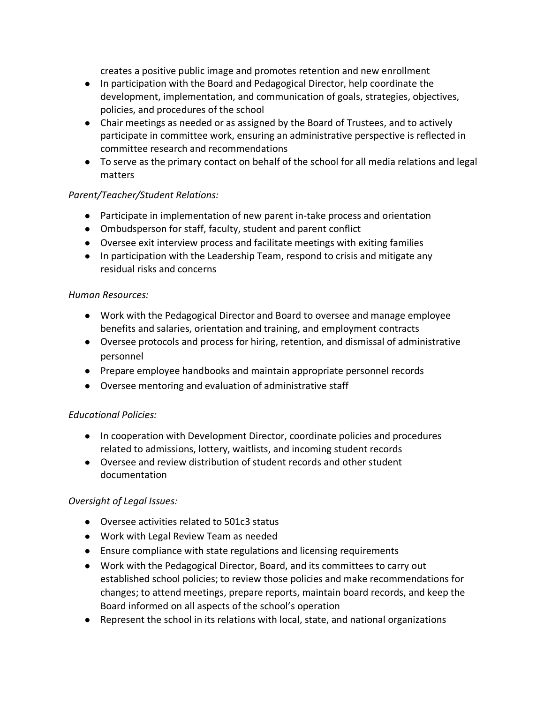creates a positive public image and promotes retention and new enrollment

- In participation with the Board and Pedagogical Director, help coordinate the development, implementation, and communication of goals, strategies, objectives, policies, and procedures of the school
- Chair meetings as needed or as assigned by the Board of Trustees, and to actively participate in committee work, ensuring an administrative perspective is reflected in committee research and recommendations
- To serve as the primary contact on behalf of the school for all media relations and legal matters

#### *Parent/Teacher/Student Relations:*

- Participate in implementation of new parent in-take process and orientation
- Ombudsperson for staff, faculty, student and parent conflict
- Oversee exit interview process and facilitate meetings with exiting families
- In participation with the Leadership Team, respond to crisis and mitigate any residual risks and concerns

#### *Human Resources:*

- Work with the Pedagogical Director and Board to oversee and manage employee benefits and salaries, orientation and training, and employment contracts
- Oversee protocols and process for hiring, retention, and dismissal of administrative personnel
- Prepare employee handbooks and maintain appropriate personnel records
- Oversee mentoring and evaluation of administrative staff

#### *Educational Policies:*

- In cooperation with Development Director, coordinate policies and procedures related to admissions, lottery, waitlists, and incoming student records
- Oversee and review distribution of student records and other student documentation

#### *Oversight of Legal Issues:*

- Oversee activities related to 501c3 status
- Work with Legal Review Team as needed
- Ensure compliance with state regulations and licensing requirements
- Work with the Pedagogical Director, Board, and its committees to carry out established school policies; to review those policies and make recommendations for changes; to attend meetings, prepare reports, maintain board records, and keep the Board informed on all aspects of the school's operation
- Represent the school in its relations with local, state, and national organizations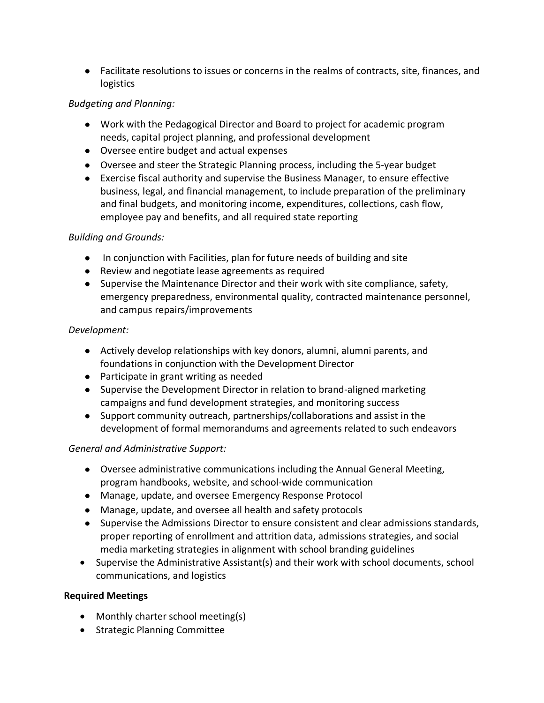● Facilitate resolutions to issues or concerns in the realms of contracts, site, finances, and logistics

### *Budgeting and Planning:*

- Work with the Pedagogical Director and Board to project for academic program needs, capital project planning, and professional development
- Oversee entire budget and actual expenses
- Oversee and steer the Strategic Planning process, including the 5-year budget
- Exercise fiscal authority and supervise the Business Manager, to ensure effective business, legal, and financial management, to include preparation of the preliminary and final budgets, and monitoring income, expenditures, collections, cash flow, employee pay and benefits, and all required state reporting

#### *Building and Grounds:*

- In conjunction with Facilities, plan for future needs of building and site
- Review and negotiate lease agreements as required
- Supervise the Maintenance Director and their work with site compliance, safety, emergency preparedness, environmental quality, contracted maintenance personnel, and campus repairs/improvements

#### *Development:*

- Actively develop relationships with key donors, alumni, alumni parents, and foundations in conjunction with the Development Director
- Participate in grant writing as needed
- Supervise the Development Director in relation to brand-aligned marketing campaigns and fund development strategies, and monitoring success
- Support community outreach, partnerships/collaborations and assist in the development of formal memorandums and agreements related to such endeavors

## *General and Administrative Support:*

- Oversee administrative communications including the Annual General Meeting, program handbooks, website, and school-wide communication
- Manage, update, and oversee Emergency Response Protocol
- Manage, update, and oversee all health and safety protocols
- Supervise the Admissions Director to ensure consistent and clear admissions standards, proper reporting of enrollment and attrition data, admissions strategies, and social media marketing strategies in alignment with school branding guidelines
- Supervise the Administrative Assistant(s) and their work with school documents, school communications, and logistics

#### **Required Meetings**

- Monthly charter school meeting(s)
- Strategic Planning Committee